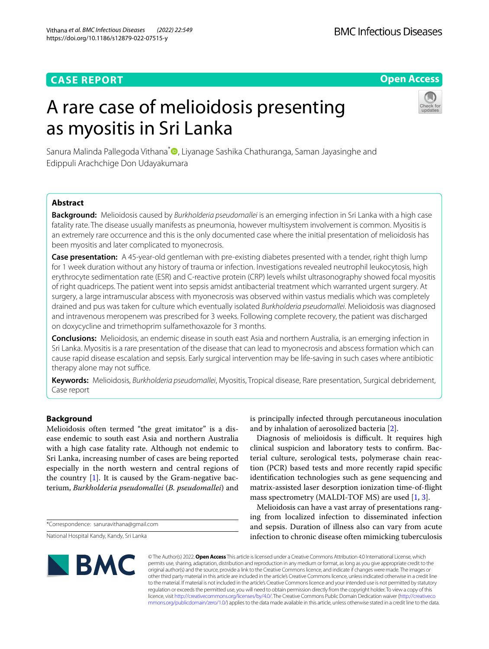# **CASE REPORT**

# **Open Access**

# A rare case of melioidosis presenting as myositis in Sri Lanka



Sanura Malinda Pallegoda Vithana<sup>[\\*](http://orcid.org/0000-0003-0581-919X)</sup> , Liyanage Sashika Chathuranga, Saman Jayasinghe and Edippuli Arachchige Don Udayakumara

## **Abstract**

**Background:** Melioidosis caused by *Burkholderia pseudomallei* is an emerging infection in Sri Lanka with a high case fatality rate. The disease usually manifests as pneumonia, however multisystem involvement is common. Myositis is an extremely rare occurrence and this is the only documented case where the initial presentation of melioidosis has been myositis and later complicated to myonecrosis.

**Case presentation:** A 45-year-old gentleman with pre-existing diabetes presented with a tender, right thigh lump for 1 week duration without any history of trauma or infection. Investigations revealed neutrophil leukocytosis, high erythrocyte sedimentation rate (ESR) and C-reactive protein (CRP) levels whilst ultrasonography showed focal myositis of right quadriceps. The patient went into sepsis amidst antibacterial treatment which warranted urgent surgery. At surgery, a large intramuscular abscess with myonecrosis was observed within vastus medialis which was completely drained and pus was taken for culture which eventually isolated *Burkholderia pseudomallei*. Melioidosis was diagnosed and intravenous meropenem was prescribed for 3 weeks. Following complete recovery, the patient was discharged on doxycycline and trimethoprim sulfamethoxazole for 3 months.

**Conclusions:** Melioidosis, an endemic disease in south east Asia and northern Australia, is an emerging infection in Sri Lanka. Myositis is a rare presentation of the disease that can lead to myonecrosis and abscess formation which can cause rapid disease escalation and sepsis. Early surgical intervention may be life-saving in such cases where antibiotic therapy alone may not suffice.

**Keywords:** Melioidosis, *Burkholderia pseudomallei*, Myositis, Tropical disease, Rare presentation, Surgical debridement, Case report

## **Background**

Melioidosis often termed "the great imitator" is a disease endemic to south east Asia and northern Australia with a high case fatality rate. Although not endemic to Sri Lanka, increasing number of cases are being reported especially in the north western and central regions of the country  $[1]$  $[1]$ . It is caused by the Gram-negative bacterium, *Burkholderia pseudomallei* (*B. pseudomallei*) and

National Hospital Kandy, Kandy, Sri Lanka

is principally infected through percutaneous inoculation and by inhalation of aerosolized bacteria [\[2](#page-3-1)].

Diagnosis of melioidosis is difficult. It requires high clinical suspicion and laboratory tests to confrm. Bacterial culture, serological tests, polymerase chain reaction (PCR) based tests and more recently rapid specifc identifcation technologies such as gene sequencing and matrix-assisted laser desorption ionization time-of-fight mass spectrometry (MALDI-TOF MS) are used [\[1](#page-3-0), [3\]](#page-3-2).

Melioidosis can have a vast array of presentations ranging from localized infection to disseminated infection and sepsis. Duration of illness also can vary from acute infection to chronic disease often mimicking tuberculosis



© The Author(s) 2022. **Open Access** This article is licensed under a Creative Commons Attribution 4.0 International License, which permits use, sharing, adaptation, distribution and reproduction in any medium or format, as long as you give appropriate credit to the original author(s) and the source, provide a link to the Creative Commons licence, and indicate if changes were made. The images or other third party material in this article are included in the article's Creative Commons licence, unless indicated otherwise in a credit line to the material. If material is not included in the article's Creative Commons licence and your intended use is not permitted by statutory regulation or exceeds the permitted use, you will need to obtain permission directly from the copyright holder. To view a copy of this licence, visit [http://creativecommons.org/licenses/by/4.0/.](http://creativecommons.org/licenses/by/4.0/) The Creative Commons Public Domain Dedication waiver ([http://creativeco](http://creativecommons.org/publicdomain/zero/1.0/) [mmons.org/publicdomain/zero/1.0/](http://creativecommons.org/publicdomain/zero/1.0/)) applies to the data made available in this article, unless otherwise stated in a credit line to the data.

<sup>\*</sup>Correspondence: sanuravithana@gmail.com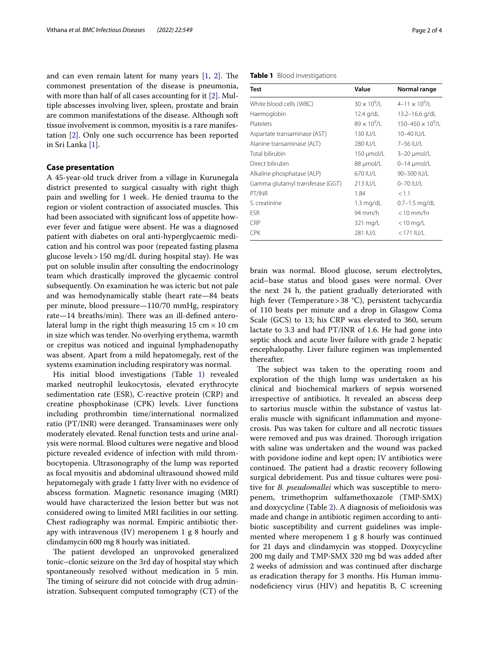and can even remain latent for many years  $[1, 2]$  $[1, 2]$  $[1, 2]$ . The commonest presentation of the disease is pneumonia, with more than half of all cases accounting for it [\[2](#page-3-1)]. Multiple abscesses involving liver, spleen, prostate and brain are common manifestations of the disease. Although soft tissue involvement is common, myositis is a rare manifestation [\[2](#page-3-1)]. Only one such occurrence has been reported in Sri Lanka [\[1](#page-3-0)].

#### **Case presentation**

A 45-year-old truck driver from a village in Kurunegala district presented to surgical casualty with right thigh pain and swelling for 1 week. He denied trauma to the region or violent contraction of associated muscles. This had been associated with signifcant loss of appetite however fever and fatigue were absent. He was a diagnosed patient with diabetes on oral anti-hyperglycaemic medication and his control was poor (repeated fasting plasma glucose levels>150 mg/dL during hospital stay). He was put on soluble insulin after consulting the endocrinology team which drastically improved the glycaemic control subsequently. On examination he was icteric but not pale and was hemodynamically stable (heart rate—84 beats per minute, blood pressure—110/70 mmHg, respiratory rate—14 breaths/min). There was an ill-defined anterolateral lump in the right thigh measuring 15 cm  $\times$  10 cm in size which was tender. No overlying erythema, warmth or crepitus was noticed and inguinal lymphadenopathy was absent. Apart from a mild hepatomegaly, rest of the systems examination including respiratory was normal.

His initial blood investigations (Table [1](#page-1-0)) revealed marked neutrophil leukocytosis, elevated erythrocyte sedimentation rate (ESR), C-reactive protein (CRP) and creatine phosphokinase (CPK) levels. Liver functions including prothrombin time/international normalized ratio (PT/INR) were deranged. Transaminases were only moderately elevated. Renal function tests and urine analysis were normal. Blood cultures were negative and blood picture revealed evidence of infection with mild thrombocytopenia. Ultrasonography of the lump was reported as focal myositis and abdominal ultrasound showed mild hepatomegaly with grade 1 fatty liver with no evidence of abscess formation. Magnetic resonance imaging (MRI) would have characterized the lesion better but was not considered owing to limited MRI facilities in our setting. Chest radiography was normal. Empiric antibiotic therapy with intravenous (IV) meropenem 1 g 8 hourly and clindamycin 600 mg 8 hourly was initiated.

The patient developed an unprovoked generalized tonic–clonic seizure on the 3rd day of hospital stay which spontaneously resolved without medication in 5 min. The timing of seizure did not coincide with drug administration. Subsequent computed tomography (CT) of the <span id="page-1-0"></span>**Table 1** Blood investigations

| Test                             | Value                 | Normal range               |
|----------------------------------|-----------------------|----------------------------|
| White blood cells (WBC)          | $30 \times 10^{9}$ /L | $4 - 11 \times 10^9$ /L    |
| Haemoglobin                      | 12.4 g/dL             | 13.2-16.6 g/dL             |
| Platelets                        | $89 \times 10^{9}$ /I | $150 - 450 \times 10^9$ /L |
| Aspartate transaminase (AST)     | 130 IU/L              | 10-40 IU/L                 |
| Alanine transaminase (ALT)       | 280 IU/L              | 7-56 IU/L                  |
| Total bilirubin                  | 150 µmol/L            | $3-20 \mu$ mol/L           |
| Direct bilirubin                 | 88 µmol/L             | $0-14$ µmol/L              |
| Alkaline phosphatase (ALP)       | 670 IU/L              | 90-300 IU/L                |
| Gamma glutamyl transferase (GGT) | 213 IU/L              | 0-70 IU/L                  |
| PT/INR                           | 1.84                  | < 1.1                      |
| S. creatinine                    | $1.3 \text{ mg/dL}$   | $0.7 - 1.5$ mg/dL          |
| ESR                              | 94 mm/h               | $<$ 10 mm/hr               |
| CRP                              | 321 mg/L              | $<$ 10 mg/L                |
| <b>CPK</b>                       | 281 IU/L              | $<$ 171 IU/L               |

brain was normal. Blood glucose, serum electrolytes, acid–base status and blood gases were normal. Over the next 24 h, the patient gradually deteriorated with high fever (Temperature>38 °C), persistent tachycardia of 110 beats per minute and a drop in Glasgow Coma Scale (GCS) to 13; his CRP was elevated to 360, serum lactate to 3.3 and had PT/INR of 1.6. He had gone into septic shock and acute liver failure with grade 2 hepatic encephalopathy. Liver failure regimen was implemented thereafter.

The subject was taken to the operating room and exploration of the thigh lump was undertaken as his clinical and biochemical markers of sepsis worsened irrespective of antibiotics. It revealed an abscess deep to sartorius muscle within the substance of vastus lateralis muscle with signifcant infammation and myonecrosis. Pus was taken for culture and all necrotic tissues were removed and pus was drained. Thorough irrigation with saline was undertaken and the wound was packed with povidone iodine and kept open; IV antibiotics were continued. The patient had a drastic recovery following surgical debridement. Pus and tissue cultures were positive for *B. pseudomallei* which was susceptible to meropenem, trimethoprim sulfamethoxazole (TMP-SMX) and doxycycline (Table [2\)](#page-2-0). A diagnosis of melioidosis was made and change in antibiotic regimen according to antibiotic susceptibility and current guidelines was implemented where meropenem 1 g 8 hourly was continued for 21 days and clindamycin was stopped. Doxycycline 200 mg daily and TMP-SMX 320 mg bd was added after 2 weeks of admission and was continued after discharge as eradication therapy for 3 months. His Human immunodefciency virus (HIV) and hepatitis B, C screening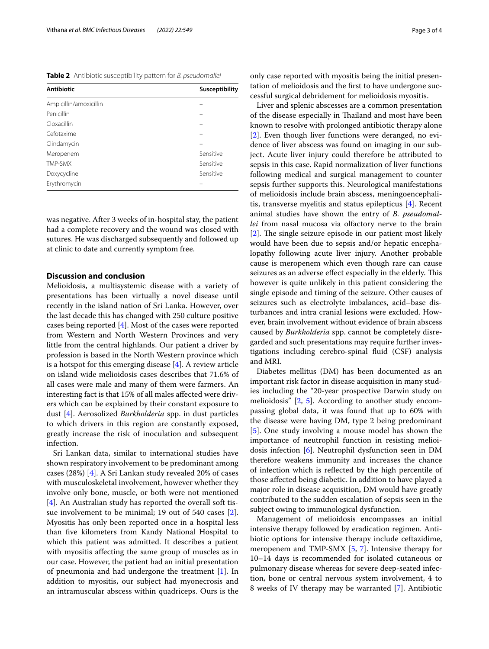<span id="page-2-0"></span>**Table 2** Antibiotic susceptibility pattern for *B. pseudomallei*

| <b>Antibiotic</b>      | Susceptibility |
|------------------------|----------------|
| Ampicillin/amoxicillin |                |
| Penicillin             |                |
| Cloxacillin            |                |
| Cefotaxime             |                |
| Clindamycin            |                |
| Meropenem              | Sensitive      |
| TMP-SMX                | Sensitive      |
| Doxycycline            | Sensitive      |
| Erythromycin           |                |

was negative. After 3 weeks of in-hospital stay, the patient had a complete recovery and the wound was closed with sutures. He was discharged subsequently and followed up at clinic to date and currently symptom free.

### **Discussion and conclusion**

Melioidosis, a multisystemic disease with a variety of presentations has been virtually a novel disease until recently in the island nation of Sri Lanka. However, over the last decade this has changed with 250 culture positive cases being reported [[4\]](#page-3-3). Most of the cases were reported from Western and North Western Provinces and very little from the central highlands. Our patient a driver by profession is based in the North Western province which is a hotspot for this emerging disease  $[4]$  $[4]$ . A review article on island wide melioidosis cases describes that 71.6% of all cases were male and many of them were farmers. An interesting fact is that 15% of all males afected were drivers which can be explained by their constant exposure to dust [[4\]](#page-3-3). Aerosolized *Burkholderia* spp. in dust particles to which drivers in this region are constantly exposed, greatly increase the risk of inoculation and subsequent infection.

Sri Lankan data, similar to international studies have shown respiratory involvement to be predominant among cases (28%) [\[4](#page-3-3)]. A Sri Lankan study revealed 20% of cases with musculoskeletal involvement, however whether they involve only bone, muscle, or both were not mentioned [[4\]](#page-3-3). An Australian study has reported the overall soft tissue involvement to be minimal; 19 out of 540 cases [\[2](#page-3-1)]. Myositis has only been reported once in a hospital less than fve kilometers from Kandy National Hospital to which this patient was admitted. It describes a patient with myositis afecting the same group of muscles as in our case. However, the patient had an initial presentation of pneumonia and had undergone the treatment [[1\]](#page-3-0). In addition to myositis, our subject had myonecrosis and an intramuscular abscess within quadriceps. Ours is the only case reported with myositis being the initial presentation of melioidosis and the frst to have undergone successful surgical debridement for melioidosis myositis.

Liver and splenic abscesses are a common presentation of the disease especially in Tailand and most have been known to resolve with prolonged antibiotic therapy alone [[2\]](#page-3-1). Even though liver functions were deranged, no evidence of liver abscess was found on imaging in our subject. Acute liver injury could therefore be attributed to sepsis in this case. Rapid normalization of liver functions following medical and surgical management to counter sepsis further supports this. Neurological manifestations of melioidosis include brain abscess, meningoencephalitis, transverse myelitis and status epilepticus [[4\]](#page-3-3). Recent animal studies have shown the entry of *B. pseudomallei* from nasal mucosa via olfactory nerve to the brain  $[2]$  $[2]$ . The single seizure episode in our patient most likely would have been due to sepsis and/or hepatic encephalopathy following acute liver injury. Another probable cause is meropenem which even though rare can cause seizures as an adverse effect especially in the elderly. This however is quite unlikely in this patient considering the single episode and timing of the seizure. Other causes of seizures such as electrolyte imbalances, acid–base disturbances and intra cranial lesions were excluded. However, brain involvement without evidence of brain abscess caused by *Burkholderia* spp. cannot be completely disregarded and such presentations may require further investigations including cerebro-spinal fuid (CSF) analysis and MRI.

Diabetes mellitus (DM) has been documented as an important risk factor in disease acquisition in many studies including the "20-year prospective Darwin study on melioidosis" [[2,](#page-3-1) [5\]](#page-3-4). According to another study encompassing global data, it was found that up to 60% with the disease were having DM, type 2 being predominant [[5\]](#page-3-4). One study involving a mouse model has shown the importance of neutrophil function in resisting melioidosis infection [[6\]](#page-3-5). Neutrophil dysfunction seen in DM therefore weakens immunity and increases the chance of infection which is refected by the high percentile of those afected being diabetic. In addition to have played a major role in disease acquisition, DM would have greatly contributed to the sudden escalation of sepsis seen in the subject owing to immunological dysfunction.

Management of melioidosis encompasses an initial intensive therapy followed by eradication regimen. Antibiotic options for intensive therapy include ceftazidime, meropenem and TMP-SMX [[5,](#page-3-4) [7](#page-3-6)]. Intensive therapy for 10–14 days is recommended for isolated cutaneous or pulmonary disease whereas for severe deep-seated infection, bone or central nervous system involvement, 4 to 8 weeks of IV therapy may be warranted [\[7](#page-3-6)]. Antibiotic